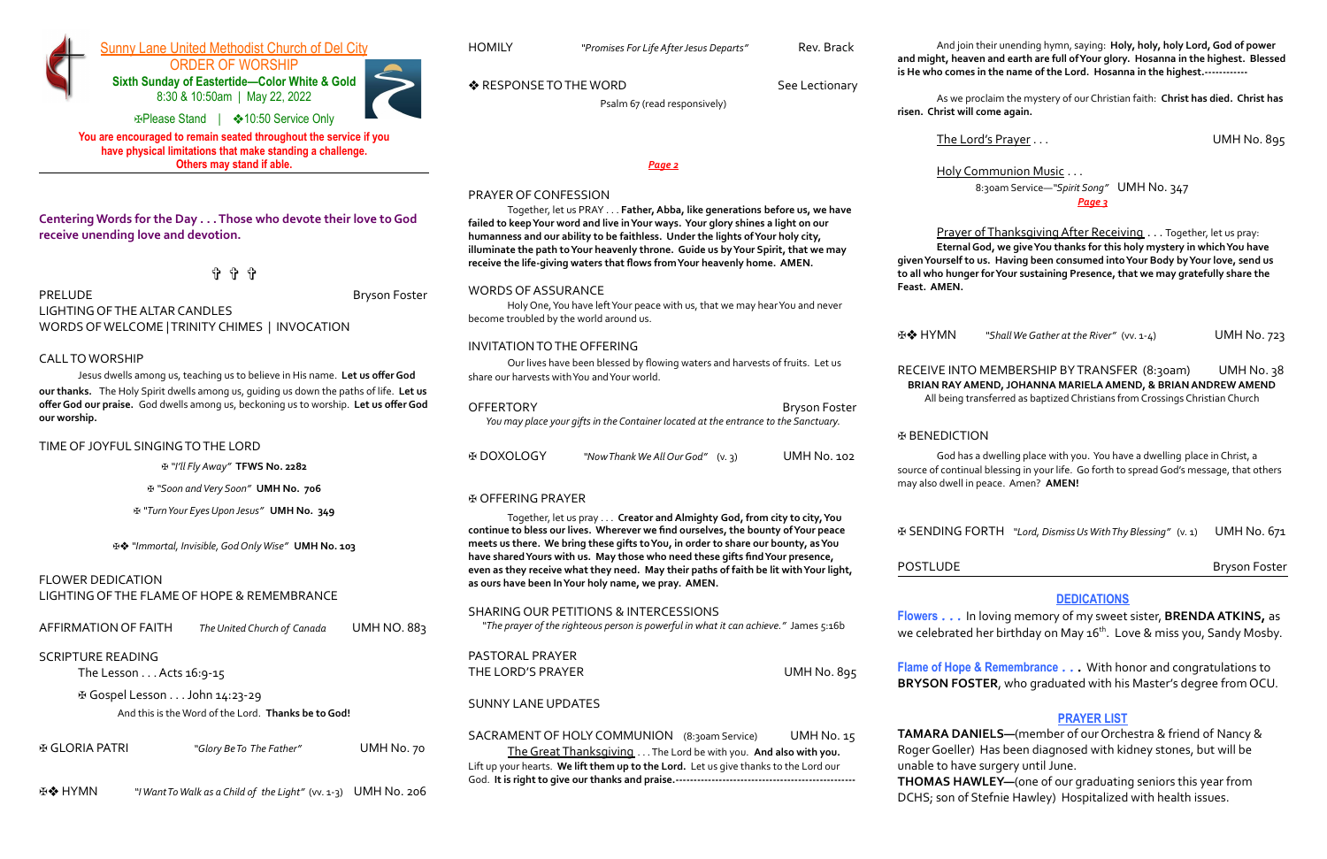

#### Sunny Lane United Methodist Church of Del City

ORDER OF WORSHIP **Sixth Sunday of Eastertide—Color White & Gold** 8:30 & 10:50am | May 22, 2022

✠Please Stand | ❖10:50 Service Only

**You are encouraged to remain seated throughout the service if you have physical limitations that make standing a challenge. Others may stand if able.**

**Centering Words for the Day . . . Those who devote their love to God receive unending love and devotion.**

✞ ✞ ✞

PRELUDE **Bryson Foster** 

LIGHTING OF THE ALTAR CANDLES WORDS OF WELCOME | TRINITY CHIMES | INVOCATION

#### CALL TO WORSHIP

Jesus dwells among us, teaching us to believe in His name. **Let us offerGod our thanks.** The Holy Spirit dwells among us, guiding us down the paths of life. **Let us offerGod our praise.** God dwells among us, beckoning us to worship. **Let us offerGod our worship.**

#### TIME OF JOYFUL SINGING TO THE LORD

✠ *"I'll Fly Away"* **TFWS No. 2282**

✠ *"Soon andVery Soon"* **UMH No. 706**

✠ *"TurnYour EyesUpon Jesus"* **UMH No. 349**

✠❖ *"Immortal, Invisible,GodOnlyWise"* **UMH No. 103**

#### FLOWER DEDICATION

LIGHTING OF THE FLAME OF HOPE & REMEMBRANCE

| AFFIRMATION OF FAITH | The United Church of Canada | <b>UMH NO. 883</b> |
|----------------------|-----------------------------|--------------------|
|----------------------|-----------------------------|--------------------|

#### SCRIPTURE READING

The Lesson . . . Acts 16:9-15

✠ Gospel Lesson . . . John 14:23-29

And this is theWord of the Lord. **Thanks be toGod!**

✠ GLORIA PATRI *"Glory BeTo The Father"* UMH No. 70

✠❖ HYMN *"IWantToWalk as a Child of the Light"* (vv. 1-3) UMH No. 206

HOMILY *"Promises For Life AfterJesus Departs"* Rev. Brack

PASTORAL PRAYER THE LORD'S PRAYER UMH No. 895

Psalm 67 (read responsively)

*Page 2*

#### PRAYER OF CONFESSION

Together, let us PRAY . . . **Father,Abba, like generations before us, we have failed to keepYour word and live inYour ways. Your glory shines a light on our humanness and our ability to be faithless. Under the lights ofYour holy city, illuminate the path toYour heavenly throne. Guide us byYour Spirit, that we may receive the life-giving waters that flows fromYour heavenly home. AMEN.**

#### WORDS OF ASSURANCE

Holy One,You have leftYour peace with us, that we may hearYou and never become troubled by the world around us.

Prayer of Thanksgiving After Receiving . . . Together, let us pray: **EternalGod, we giveYou thanks for this holy mystery in whichYou have givenYourself to us. Having been consumed intoYour Body byYour love, send us to all who hunger forYour sustaining Presence, that we may gratefully share the**

#### INVITATION TO THE OFFERING

Our lives have been blessed by flowing waters and harvests of fruits. Let us share our harvests withYou andYour world.

RECEIVE INTO MEMBERSHIP BY TRANSFER (8:30am) UMH No. 38 **BRIAN RAYAMEND, JOHANNA MARIELAAMEND, & BRIAN ANDREW AMEND** All being transferred as baptized Christians from Crossings Christian Church

| <b>OFFERTORY</b>                                                                    | <b>Bryson Foster</b> |
|-------------------------------------------------------------------------------------|----------------------|
| You may place your gifts in the Container located at the entrance to the Sanctuary. |                      |

**Flowers** . . . In loving memory of my sweet sister, **BRENDA ATKINS,** as we celebrated her birthday on May 16<sup>th</sup>. Love & miss you**,** Sandy Mosby.

| ⊕ DOXOLOGY | "Now Thank We All Our God" (v. 3) | <b>UMH No. 102</b> |
|------------|-----------------------------------|--------------------|
|            |                                   |                    |

#### ✠ OFFERING PRAYER

Together, let us pray . . . **Creator andAlmighty God, from city to city,You continue to bless our lives. Wherever we find ourselves, the bounty ofYour peace meets us there. We bring these gifts toYou, in order to share our bounty, asYou have sharedYours with us. May those who need these gifts findYour presence, even as they receive what they need. May their paths of faith be lit withYour light, as ours have been InYour holy name, we pray. AMEN.**

SHARING OUR PETITIONS & INTERCESSIONS

*"The prayer of the righteous person is powerful in what it can achieve."* James 5:16b

SUNNY LANE UPDATES

SACRAMENT OF HOLY COMMUNION (8:30am Service) UMH No. 15

The Great Thanksgiving . . .The Lord be with you. **And also with you.** Lift up your hearts. **We lift them up to the Lord.** Let us give thanks to the Lord our God. **It is right to give our thanks and praise.--------------------------------------------------**



And join their unending hymn, saying: **Holy, holy, holy Lord,God of power and might, heaven and earth are full ofYour glory. Hosanna in the highest. Blessed is He who comes in the name of the Lord. Hosanna in the highest.------------**

As we proclaim the mystery of our Christian faith: **Christ has died. Christ has risen. Christ will come again.**

The Lord's Prayer . . . UMH No. 895

Holy Communion Music . . . 8:30am Service—*"Spirit Song"* UMH No. 347 *Page 3*

# **Feast. AMEN.**

✠❖ HYMN *"ShallWeGather at the River"* (vv. 1-4) UMH No. 723

POSTLUDE **Bryson Foster** 

#### ✠ BENEDICTION

God has a dwelling place with you. You have a dwelling place in Christ, a source of continual blessing in your life. Go forth to spread God's message, that others may also dwell in peace. Amen? **AMEN!**

✠ SENDING FORTH *"Lord, DismissUsWithThy Blessing"* (v. 1) UMH No. 671

#### **DEDICATIONS**

**Flame of Hope & Remembrance** . . . With honor and congratulations to **BRYSON FOSTER**, who graduated with his Master's degree from OCU.

◆ RESPONSE TO THE WORD See Lectionary

#### **PRAYER LIST**

**TAMARA DANIELS—**(member of our Orchestra & friend of Nancy & Roger Goeller) Has been diagnosed with kidney stones, but will be unable to have surgery until June.

**THOMAS HAWLEY—**(one of our graduating seniors this year from DCHS; son of Stefnie Hawley) Hospitalized with health issues.